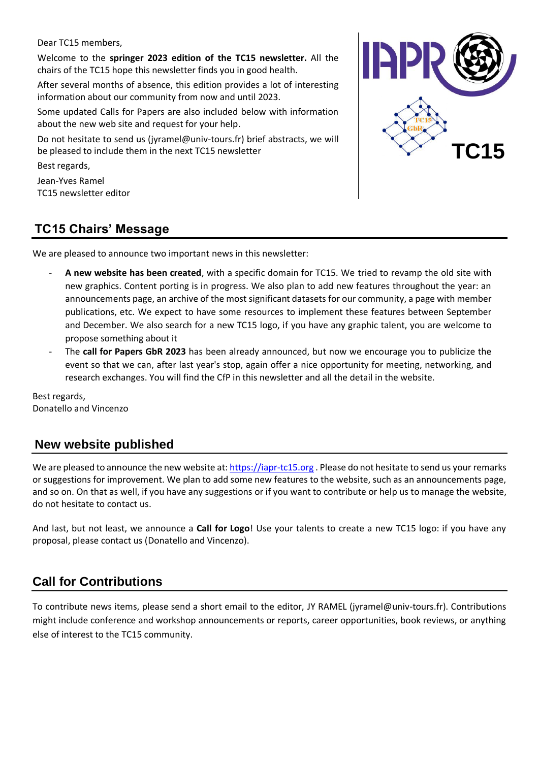Dear TC15 members,

Welcome to the **springer 2023 edition of the TC15 newsletter.** All the chairs of the TC15 hope this newsletter finds you in good health.

After several months of absence, this edition provides a lot of interesting information about our community from now and until 2023.

Some updated Calls for Papers are also included below with information about the new web site and request for your help.

Do not hesitate to send us (jyramel@univ-tours.fr) brief abstracts, we will be pleased to include them in the next TC15 newsletter

Best regards,

Jean-Yves Ramel TC15 newsletter editor



# **TC15 Chairs' Message**

We are pleased to announce two important news in this newsletter:

- **A new website has been created**, with a specific domain for TC15. We tried to revamp the old site with new graphics. Content porting is in progress. We also plan to add new features throughout the year: an announcements page, an archive of the most significant datasets for our community, a page with member publications, etc. We expect to have some resources to implement these features between September and December. We also search for a new TC15 logo, if you have any graphic talent, you are welcome to propose something about it
- The **call for Papers GbR 2023** has been already announced, but now we encourage you to publicize the event so that we can, after last year's stop, again offer a nice opportunity for meeting, networking, and research exchanges. You will find the CfP in this newsletter and all the detail in the website.

Best regards, Donatello and Vincenzo

# **New website published**

We are pleased to announce the new website at: [https://iapr-tc15.org](https://iapr-tc15.org/) . Please do not hesitate to send us your remarks or suggestions for improvement. We plan to add some new features to the website, such as an announcements page, and so on. On that as well, if you have any suggestions or if you want to contribute or help us to manage the website, do not hesitate to contact us.

And last, but not least, we announce a **Call for Logo**! Use your talents to create a new TC15 logo: if you have any proposal, please contact us (Donatello and Vincenzo).

# **Call for Contributions**

To contribute news items, please send a short email to the editor, JY RAMEL (jyramel@univ-tours.fr). Contributions might include conference and workshop announcements or reports, career opportunities, book reviews, or anything else of interest to the TC15 community.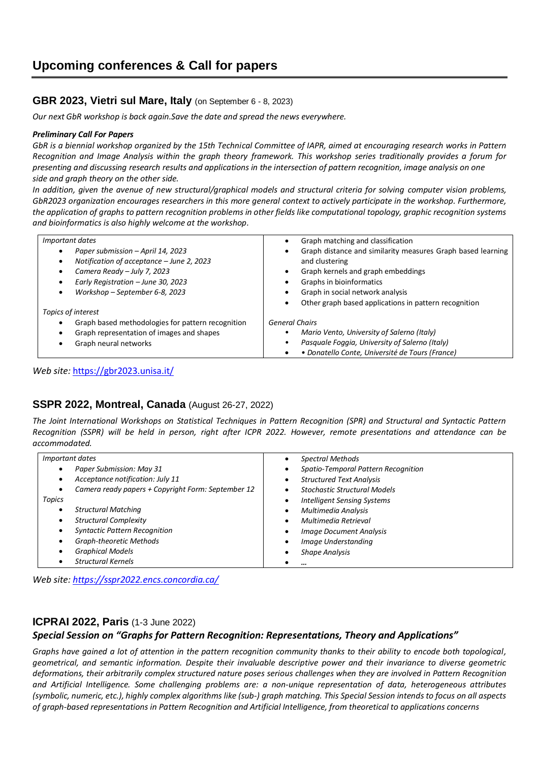## **GBR 2023, Vietri sul Mare, Italy** (on September 6 - 8, 2023)

*Our next GbR workshop is back again.Save the date and spread the news everywhere.* 

#### *Preliminary Call For Papers*

*GbR is a biennial workshop organized by the 15th Technical Committee of IAPR, aimed at encouraging research works in Pattern Recognition and Image Analysis within the graph theory framework. This workshop series traditionally provides a forum for presenting and discussing research results and applications in the intersection of pattern recognition, image analysis on one side and graph theory on the other side.*

*In addition, given the avenue of new structural/graphical models and structural criteria for solving computer vision problems, GbR2023 organization encourages researchers in this more general context to actively participate in the workshop. Furthermore, the application of graphs to pattern recognition problems in other fields like computational topology, graphic recognition systems and bioinformatics is also highly welcome at the workshop.*

| Important dates                                                                                                                                                                       | Graph matching and classification                                                                                                                                                                                                            |
|---------------------------------------------------------------------------------------------------------------------------------------------------------------------------------------|----------------------------------------------------------------------------------------------------------------------------------------------------------------------------------------------------------------------------------------------|
| Paper submission - April 14, 2023<br>Notification of acceptance - June 2, 2023<br>Camera Ready - July 7, 2023<br>Early Registration - June 30, 2023<br>Workshop - September 6-8, 2023 | Graph distance and similarity measures Graph based learning<br>and clustering<br>Graph kernels and graph embeddings<br>Graphs in bioinformatics<br>Graph in social network analysis<br>Other graph based applications in pattern recognition |
| Topics of interest                                                                                                                                                                    |                                                                                                                                                                                                                                              |
| Graph based methodologies for pattern recognition                                                                                                                                     | <b>General Chairs</b>                                                                                                                                                                                                                        |
| Graph representation of images and shapes                                                                                                                                             | Mario Vento, University of Salerno (Italy)                                                                                                                                                                                                   |
| Graph neural networks                                                                                                                                                                 | Pasquale Foggia, University of Salerno (Italy)                                                                                                                                                                                               |
|                                                                                                                                                                                       | · Donatello Conte, Université de Tours (France)                                                                                                                                                                                              |

*Web site:* <https://gbr2023.unisa.it/>

## **SSPR 2022, Montreal, Canada** (August 26-27, 2022)

*The Joint International Workshops on Statistical Techniques in Pattern Recognition (SPR) and Structural and Syntactic Pattern Recognition (SSPR) will be held in person, right after ICPR 2022. However, remote presentations and attendance can be accommodated.*

| <i>Important dates</i>                             | <b>Spectral Methods</b>             |
|----------------------------------------------------|-------------------------------------|
| Paper Submission: May 31                           | Spatio-Temporal Pattern Recognition |
| Acceptance notification: July 11                   | <b>Structured Text Analysis</b>     |
| Camera ready papers + Copyright Form: September 12 | <b>Stochastic Structural Models</b> |
| Topics                                             | <b>Intelligent Sensing Systems</b>  |
| <b>Structural Matching</b>                         | Multimedia Analysis                 |
| <b>Structural Complexity</b>                       | Multimedia Retrieval                |
| <b>Syntactic Pattern Recognition</b>               | <b>Image Document Analysis</b>      |
| Graph-theoretic Methods                            | Image Understanding                 |
| <b>Graphical Models</b>                            | <b>Shape Analysis</b>               |
| <b>Structural Kernels</b>                          |                                     |

*Web site: <https://sspr2022.encs.concordia.ca/>*

## **ICPRAI 2022, Paris** (1-3 June 2022)

### *Special Session on "Graphs for Pattern Recognition: Representations, Theory and Applications"*

*Graphs have gained a lot of attention in the pattern recognition community thanks to their ability to encode both topological, geometrical, and semantic information. Despite their invaluable descriptive power and their invariance to diverse geometric deformations, their arbitrarily complex structured nature poses serious challenges when they are involved in Pattern Recognition and Artificial Intelligence. Some challenging problems are: a non-unique representation of data, heterogeneous attributes (symbolic, numeric, etc.), highly complex algorithms like (sub-) graph matching. This Special Session intends to focus on all aspects of graph-based representations in Pattern Recognition and Artificial Intelligence, from theoretical to applications concerns*